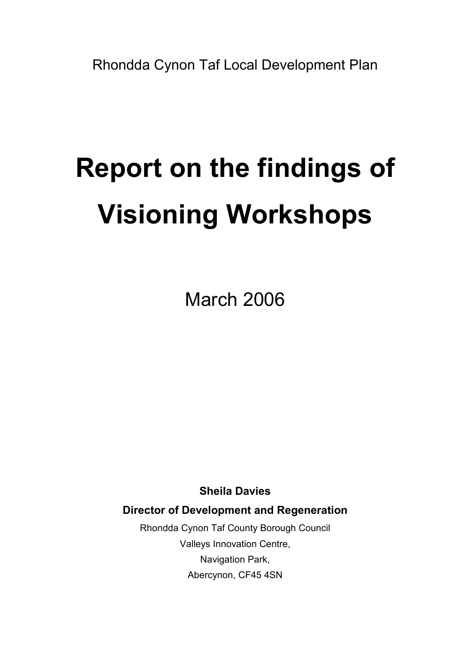# Report on the findings of Visioning Workshops

March 2006

Sheila Davies

Director of Development and Regeneration

Rhondda Cynon Taf County Borough Council Valleys Innovation Centre, Navigation Park, Abercynon, CF45 4SN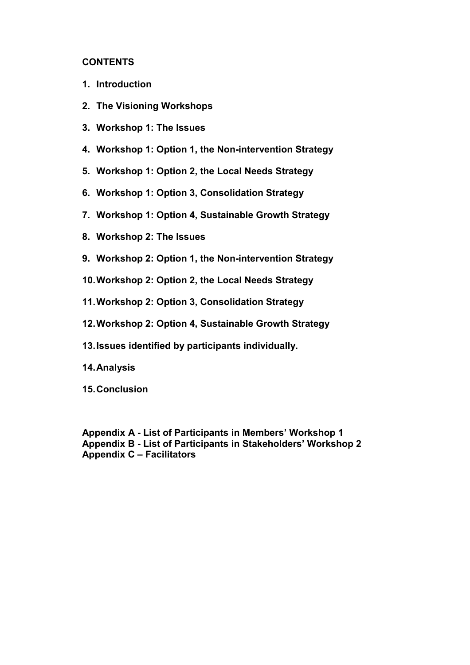## **CONTENTS**

- 1. Introduction
- 2. The Visioning Workshops
- 3. Workshop 1: The Issues
- 4. Workshop 1: Option 1, the Non-intervention Strategy
- 5. Workshop 1: Option 2, the Local Needs Strategy
- 6. Workshop 1: Option 3, Consolidation Strategy
- 7. Workshop 1: Option 4, Sustainable Growth Strategy
- 8. Workshop 2: The Issues
- 9. Workshop 2: Option 1, the Non-intervention Strategy
- 10. Workshop 2: Option 2, the Local Needs Strategy
- 11. Workshop 2: Option 3, Consolidation Strategy
- 12. Workshop 2: Option 4, Sustainable Growth Strategy
- 13. Issues identified by participants individually.
- 14. Analysis
- 15. Conclusion

Appendix A - List of Participants in Members' Workshop 1 Appendix B - List of Participants in Stakeholders' Workshop 2 Appendix C – Facilitators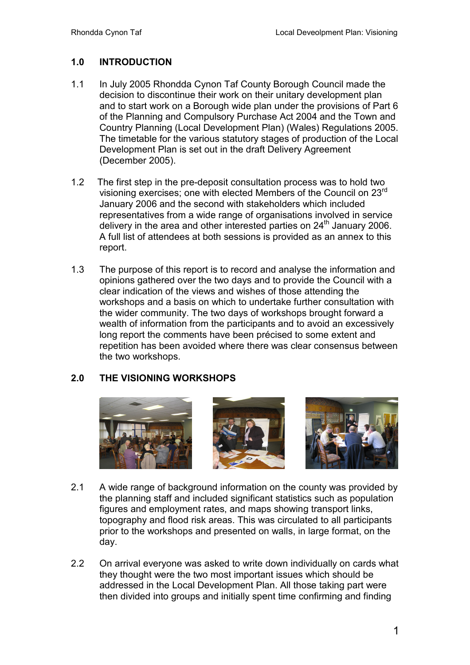# 1.0 INTRODUCTION

- 1.1 In July 2005 Rhondda Cynon Taf County Borough Council made the decision to discontinue their work on their unitary development plan and to start work on a Borough wide plan under the provisions of Part 6 of the Planning and Compulsory Purchase Act 2004 and the Town and Country Planning (Local Development Plan) (Wales) Regulations 2005. The timetable for the various statutory stages of production of the Local Development Plan is set out in the draft Delivery Agreement (December 2005).
- 1.2 The first step in the pre-deposit consultation process was to hold two visioning exercises; one with elected Members of the Council on 23rd January 2006 and the second with stakeholders which included representatives from a wide range of organisations involved in service delivery in the area and other interested parties on  $24<sup>th</sup>$  January 2006. A full list of attendees at both sessions is provided as an annex to this report.
- 1.3 The purpose of this report is to record and analyse the information and opinions gathered over the two days and to provide the Council with a clear indication of the views and wishes of those attending the workshops and a basis on which to undertake further consultation with the wider community. The two days of workshops brought forward a wealth of information from the participants and to avoid an excessively long report the comments have been précised to some extent and repetition has been avoided where there was clear consensus between the two workshops.

# 2.0 THE VISIONING WORKSHOPS



- 2.1 A wide range of background information on the county was provided by the planning staff and included significant statistics such as population figures and employment rates, and maps showing transport links, topography and flood risk areas. This was circulated to all participants prior to the workshops and presented on walls, in large format, on the day.
- 2.2 On arrival everyone was asked to write down individually on cards what they thought were the two most important issues which should be addressed in the Local Development Plan. All those taking part were then divided into groups and initially spent time confirming and finding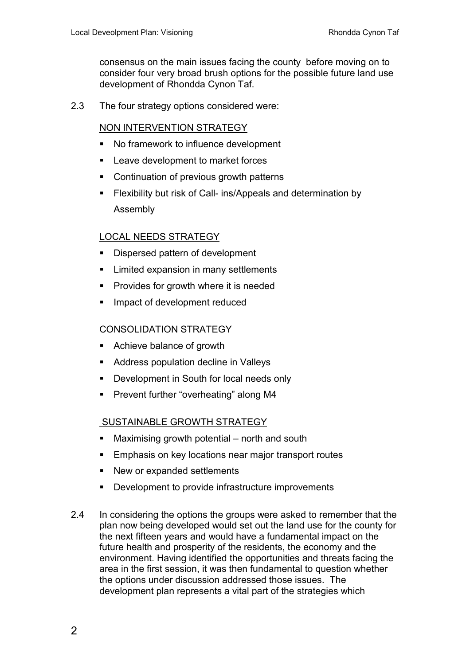consensus on the main issues facing the county before moving on to consider four very broad brush options for the possible future land use development of Rhondda Cynon Taf.

2.3 The four strategy options considered were:

# NON INTERVENTION STRATEGY

- No framework to influence development
- **EXEC** Leave development to market forces
- Continuation of previous growth patterns
- Flexibility but risk of Call- ins/Appeals and determination by Assembly

# LOCAL NEEDS STRATEGY

- Dispersed pattern of development
- **EXECUTE:** Limited expansion in many settlements
- Provides for growth where it is needed
- **Impact of development reduced**

# CONSOLIDATION STRATEGY

- Achieve balance of growth
- **Address population decline in Valleys**
- **Development in South for local needs only**
- **Prevent further "overheating" along M4**

# SUSTAINABLE GROWTH STRATEGY

- Maximising growth potential north and south
- Emphasis on key locations near major transport routes
- New or expanded settlements
- **-** Development to provide infrastructure improvements
- 2.4 In considering the options the groups were asked to remember that the plan now being developed would set out the land use for the county for the next fifteen years and would have a fundamental impact on the future health and prosperity of the residents, the economy and the environment. Having identified the opportunities and threats facing the area in the first session, it was then fundamental to question whether the options under discussion addressed those issues. The development plan represents a vital part of the strategies which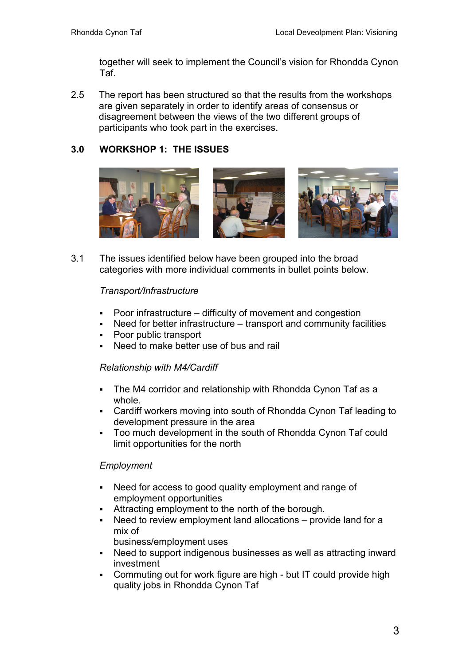together will seek to implement the Council's vision for Rhondda Cynon Taf.

2.5 The report has been structured so that the results from the workshops are given separately in order to identify areas of consensus or disagreement between the views of the two different groups of participants who took part in the exercises.

# 3.0 WORKSHOP 1: THE ISSUES



3.1 The issues identified below have been grouped into the broad categories with more individual comments in bullet points below.

## Transport/Infrastructure

- Poor infrastructure difficulty of movement and congestion
- Need for better infrastructure transport and community facilities
- Poor public transport
- Need to make better use of bus and rail

#### Relationship with M4/Cardiff

- The M4 corridor and relationship with Rhondda Cynon Taf as a whole.
- Cardiff workers moving into south of Rhondda Cynon Taf leading to development pressure in the area
- Too much development in the south of Rhondda Cynon Taf could limit opportunities for the north

# Employment

- Need for access to good quality employment and range of employment opportunities
- Attracting employment to the north of the borough.
- Need to review employment land allocations provide land for a mix of

business/employment uses

- Need to support indigenous businesses as well as attracting inward investment
- Commuting out for work figure are high but IT could provide high quality jobs in Rhondda Cynon Taf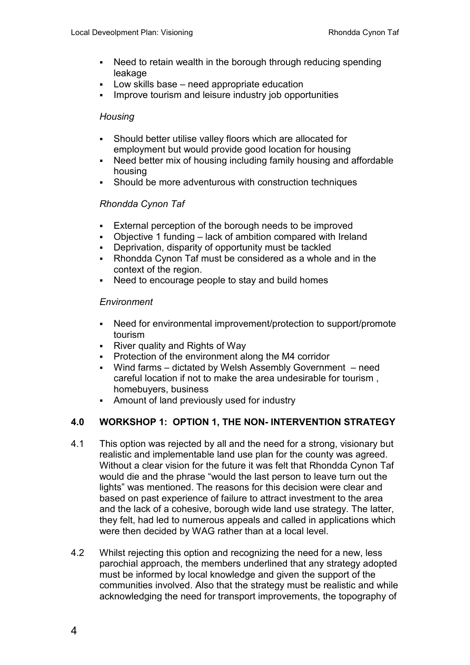- Need to retain wealth in the borough through reducing spending leakage
- Low skills base need appropriate education
- Improve tourism and leisure industry job opportunities

#### **Housing**

- Should better utilise valley floors which are allocated for employment but would provide good location for housing
- Need better mix of housing including family housing and affordable housing
- Should be more adventurous with construction techniques

# Rhondda Cynon Taf

- External perception of the borough needs to be improved
- Objective 1 funding lack of ambition compared with Ireland
- Deprivation, disparity of opportunity must be tackled
- Rhondda Cynon Taf must be considered as a whole and in the context of the region.
- Need to encourage people to stay and build homes

## **Environment**

- Need for environmental improvement/protection to support/promote tourism
- River quality and Rights of Way
- Protection of the environment along the M4 corridor
- Wind farms dictated by Welsh Assembly Government need careful location if not to make the area undesirable for tourism , homebuyers, business
- Amount of land previously used for industry

# 4.0 WORKSHOP 1: OPTION 1, THE NON- INTERVENTION STRATEGY

- 4.1 This option was rejected by all and the need for a strong, visionary but realistic and implementable land use plan for the county was agreed. Without a clear vision for the future it was felt that Rhondda Cynon Taf would die and the phrase "would the last person to leave turn out the lights" was mentioned. The reasons for this decision were clear and based on past experience of failure to attract investment to the area and the lack of a cohesive, borough wide land use strategy. The latter, they felt, had led to numerous appeals and called in applications which were then decided by WAG rather than at a local level.
- 4.2 Whilst rejecting this option and recognizing the need for a new, less parochial approach, the members underlined that any strategy adopted must be informed by local knowledge and given the support of the communities involved. Also that the strategy must be realistic and while acknowledging the need for transport improvements, the topography of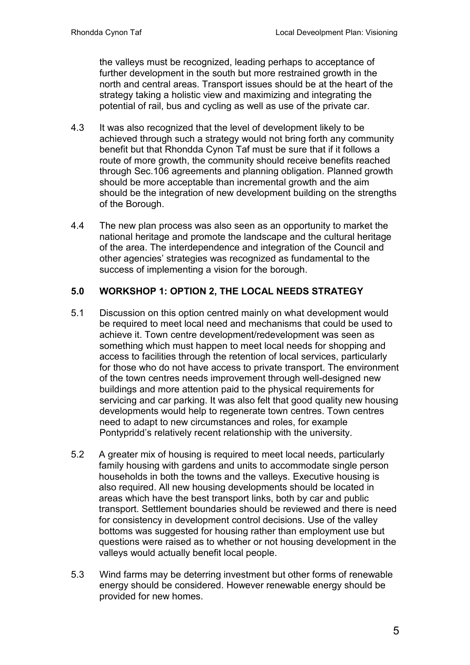the valleys must be recognized, leading perhaps to acceptance of further development in the south but more restrained growth in the north and central areas. Transport issues should be at the heart of the strategy taking a holistic view and maximizing and integrating the potential of rail, bus and cycling as well as use of the private car.

- 4.3 It was also recognized that the level of development likely to be achieved through such a strategy would not bring forth any community benefit but that Rhondda Cynon Taf must be sure that if it follows a route of more growth, the community should receive benefits reached through Sec.106 agreements and planning obligation. Planned growth should be more acceptable than incremental growth and the aim should be the integration of new development building on the strengths of the Borough.
- 4.4 The new plan process was also seen as an opportunity to market the national heritage and promote the landscape and the cultural heritage of the area. The interdependence and integration of the Council and other agencies' strategies was recognized as fundamental to the success of implementing a vision for the borough.

# 5.0 WORKSHOP 1: OPTION 2, THE LOCAL NEEDS STRATEGY

- 5.1 Discussion on this option centred mainly on what development would be required to meet local need and mechanisms that could be used to achieve it. Town centre development/redevelopment was seen as something which must happen to meet local needs for shopping and access to facilities through the retention of local services, particularly for those who do not have access to private transport. The environment of the town centres needs improvement through well-designed new buildings and more attention paid to the physical requirements for servicing and car parking. It was also felt that good quality new housing developments would help to regenerate town centres. Town centres need to adapt to new circumstances and roles, for example Pontypridd's relatively recent relationship with the university.
- 5.2 A greater mix of housing is required to meet local needs, particularly family housing with gardens and units to accommodate single person households in both the towns and the valleys. Executive housing is also required. All new housing developments should be located in areas which have the best transport links, both by car and public transport. Settlement boundaries should be reviewed and there is need for consistency in development control decisions. Use of the valley bottoms was suggested for housing rather than employment use but questions were raised as to whether or not housing development in the valleys would actually benefit local people.
- 5.3 Wind farms may be deterring investment but other forms of renewable energy should be considered. However renewable energy should be provided for new homes.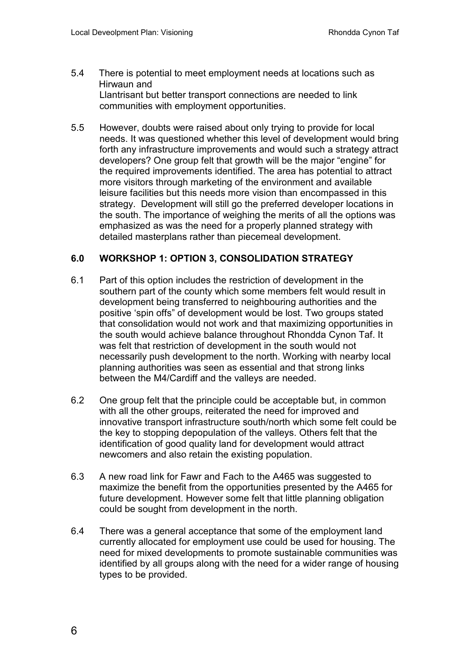- 5.4 There is potential to meet employment needs at locations such as Hirwaun and Llantrisant but better transport connections are needed to link communities with employment opportunities.
- 5.5 However, doubts were raised about only trying to provide for local needs. It was questioned whether this level of development would bring forth any infrastructure improvements and would such a strategy attract developers? One group felt that growth will be the major "engine" for the required improvements identified. The area has potential to attract more visitors through marketing of the environment and available leisure facilities but this needs more vision than encompassed in this strategy. Development will still go the preferred developer locations in the south. The importance of weighing the merits of all the options was emphasized as was the need for a properly planned strategy with detailed masterplans rather than piecemeal development.

# 6.0 WORKSHOP 1: OPTION 3, CONSOLIDATION STRATEGY

- 6.1 Part of this option includes the restriction of development in the southern part of the county which some members felt would result in development being transferred to neighbouring authorities and the positive 'spin offs" of development would be lost. Two groups stated that consolidation would not work and that maximizing opportunities in the south would achieve balance throughout Rhondda Cynon Taf. It was felt that restriction of development in the south would not necessarily push development to the north. Working with nearby local planning authorities was seen as essential and that strong links between the M4/Cardiff and the valleys are needed.
- 6.2 One group felt that the principle could be acceptable but, in common with all the other groups, reiterated the need for improved and innovative transport infrastructure south/north which some felt could be the key to stopping depopulation of the valleys. Others felt that the identification of good quality land for development would attract newcomers and also retain the existing population.
- 6.3 A new road link for Fawr and Fach to the A465 was suggested to maximize the benefit from the opportunities presented by the A465 for future development. However some felt that little planning obligation could be sought from development in the north.
- 6.4 There was a general acceptance that some of the employment land currently allocated for employment use could be used for housing. The need for mixed developments to promote sustainable communities was identified by all groups along with the need for a wider range of housing types to be provided.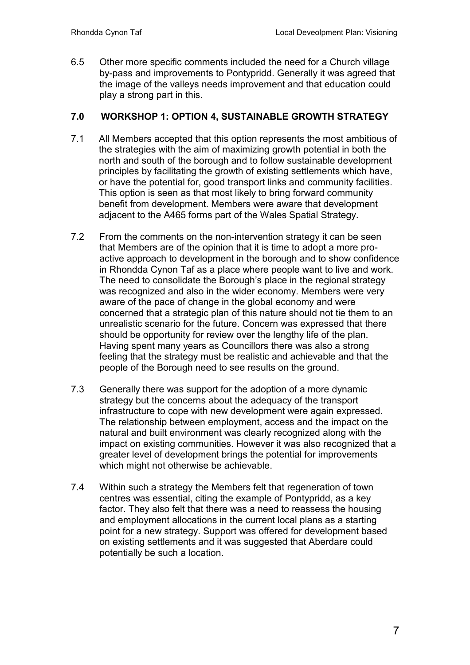6.5 Other more specific comments included the need for a Church village by-pass and improvements to Pontypridd. Generally it was agreed that the image of the valleys needs improvement and that education could play a strong part in this.

# 7.0 WORKSHOP 1: OPTION 4, SUSTAINABLE GROWTH STRATEGY

- 7.1 All Members accepted that this option represents the most ambitious of the strategies with the aim of maximizing growth potential in both the north and south of the borough and to follow sustainable development principles by facilitating the growth of existing settlements which have, or have the potential for, good transport links and community facilities. This option is seen as that most likely to bring forward community benefit from development. Members were aware that development adjacent to the A465 forms part of the Wales Spatial Strategy.
- 7.2 From the comments on the non-intervention strategy it can be seen that Members are of the opinion that it is time to adopt a more proactive approach to development in the borough and to show confidence in Rhondda Cynon Taf as a place where people want to live and work. The need to consolidate the Borough's place in the regional strategy was recognized and also in the wider economy. Members were very aware of the pace of change in the global economy and were concerned that a strategic plan of this nature should not tie them to an unrealistic scenario for the future. Concern was expressed that there should be opportunity for review over the lengthy life of the plan. Having spent many years as Councillors there was also a strong feeling that the strategy must be realistic and achievable and that the people of the Borough need to see results on the ground.
- 7.3 Generally there was support for the adoption of a more dynamic strategy but the concerns about the adequacy of the transport infrastructure to cope with new development were again expressed. The relationship between employment, access and the impact on the natural and built environment was clearly recognized along with the impact on existing communities. However it was also recognized that a greater level of development brings the potential for improvements which might not otherwise be achievable.
- 7.4 Within such a strategy the Members felt that regeneration of town centres was essential, citing the example of Pontypridd, as a key factor. They also felt that there was a need to reassess the housing and employment allocations in the current local plans as a starting point for a new strategy. Support was offered for development based on existing settlements and it was suggested that Aberdare could potentially be such a location.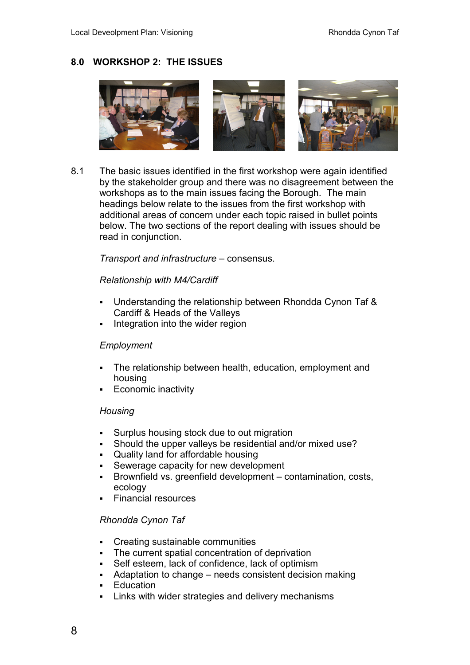# 8.0 WORKSHOP 2: THE ISSUES



8.1 The basic issues identified in the first workshop were again identified by the stakeholder group and there was no disagreement between the workshops as to the main issues facing the Borough. The main headings below relate to the issues from the first workshop with additional areas of concern under each topic raised in bullet points below. The two sections of the report dealing with issues should be read in conjunction.

Transport and infrastructure – consensus.

#### Relationship with M4/Cardiff

- Understanding the relationship between Rhondda Cynon Taf & Cardiff & Heads of the Valleys
- Integration into the wider region

#### **Employment**

- The relationship between health, education, employment and housing
- Economic inactivity

#### **Housing**

- Surplus housing stock due to out migration
- Should the upper valleys be residential and/or mixed use?
- Quality land for affordable housing
- Sewerage capacity for new development
- Brownfield vs. greenfield development contamination, costs, ecology
- Financial resources

#### Rhondda Cynon Taf

- Creating sustainable communities
- The current spatial concentration of deprivation
- Self esteem, lack of confidence, lack of optimism
- Adaptation to change needs consistent decision making
- Education
- Links with wider strategies and delivery mechanisms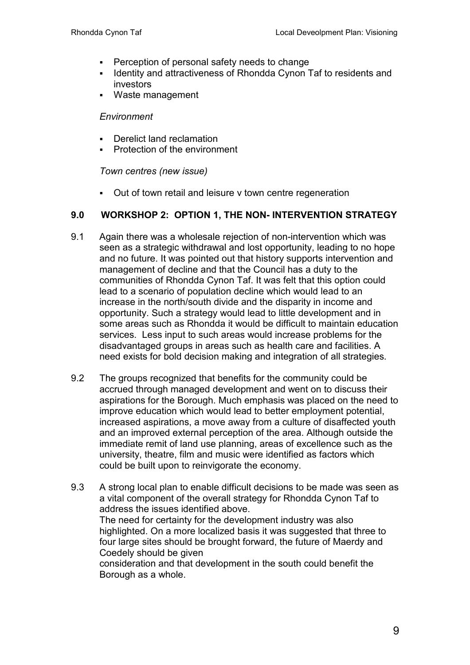- **Perception of personal safety needs to change**
- **Interactle and attractiveness of Rhondda Cynon Taf to residents and Interact and** investors
- Waste management

#### **Environment**

- Derelict land reclamation
- Protection of the environment

Town centres (new issue)

Out of town retail and leisure v town centre regeneration

## 9.0 WORKSHOP 2: OPTION 1, THE NON- INTERVENTION STRATEGY

- 9.1 Again there was a wholesale rejection of non-intervention which was seen as a strategic withdrawal and lost opportunity, leading to no hope and no future. It was pointed out that history supports intervention and management of decline and that the Council has a duty to the communities of Rhondda Cynon Taf. It was felt that this option could lead to a scenario of population decline which would lead to an increase in the north/south divide and the disparity in income and opportunity. Such a strategy would lead to little development and in some areas such as Rhondda it would be difficult to maintain education services. Less input to such areas would increase problems for the disadvantaged groups in areas such as health care and facilities. A need exists for bold decision making and integration of all strategies.
- 9.2 The groups recognized that benefits for the community could be accrued through managed development and went on to discuss their aspirations for the Borough. Much emphasis was placed on the need to improve education which would lead to better employment potential, increased aspirations, a move away from a culture of disaffected youth and an improved external perception of the area. Although outside the immediate remit of land use planning, areas of excellence such as the university, theatre, film and music were identified as factors which could be built upon to reinvigorate the economy.
- 9.3 A strong local plan to enable difficult decisions to be made was seen as a vital component of the overall strategy for Rhondda Cynon Taf to address the issues identified above. The need for certainty for the development industry was also highlighted. On a more localized basis it was suggested that three to four large sites should be brought forward, the future of Maerdy and Coedely should be given consideration and that development in the south could benefit the Borough as a whole.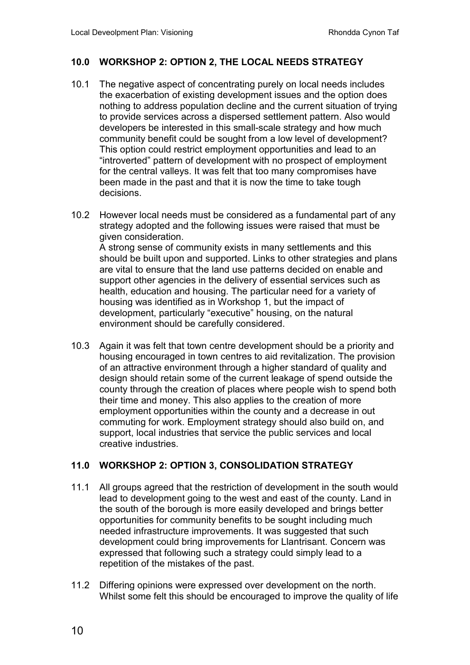# 10.0 WORKSHOP 2: OPTION 2, THE LOCAL NEEDS STRATEGY

- 10.1 The negative aspect of concentrating purely on local needs includes the exacerbation of existing development issues and the option does nothing to address population decline and the current situation of trying to provide services across a dispersed settlement pattern. Also would developers be interested in this small-scale strategy and how much community benefit could be sought from a low level of development? This option could restrict employment opportunities and lead to an "introverted" pattern of development with no prospect of employment for the central valleys. It was felt that too many compromises have been made in the past and that it is now the time to take tough decisions.
- 10.2 However local needs must be considered as a fundamental part of any strategy adopted and the following issues were raised that must be given consideration. A strong sense of community exists in many settlements and this should be built upon and supported. Links to other strategies and plans are vital to ensure that the land use patterns decided on enable and support other agencies in the delivery of essential services such as health, education and housing. The particular need for a variety of housing was identified as in Workshop 1, but the impact of development, particularly "executive" housing, on the natural environment should be carefully considered.
- 10.3 Again it was felt that town centre development should be a priority and housing encouraged in town centres to aid revitalization. The provision of an attractive environment through a higher standard of quality and design should retain some of the current leakage of spend outside the county through the creation of places where people wish to spend both their time and money. This also applies to the creation of more employment opportunities within the county and a decrease in out commuting for work. Employment strategy should also build on, and support, local industries that service the public services and local creative industries.

# 11.0 WORKSHOP 2: OPTION 3, CONSOLIDATION STRATEGY

- 11.1 All groups agreed that the restriction of development in the south would lead to development going to the west and east of the county. Land in the south of the borough is more easily developed and brings better opportunities for community benefits to be sought including much needed infrastructure improvements. It was suggested that such development could bring improvements for Llantrisant. Concern was expressed that following such a strategy could simply lead to a repetition of the mistakes of the past.
- 11.2 Differing opinions were expressed over development on the north. Whilst some felt this should be encouraged to improve the quality of life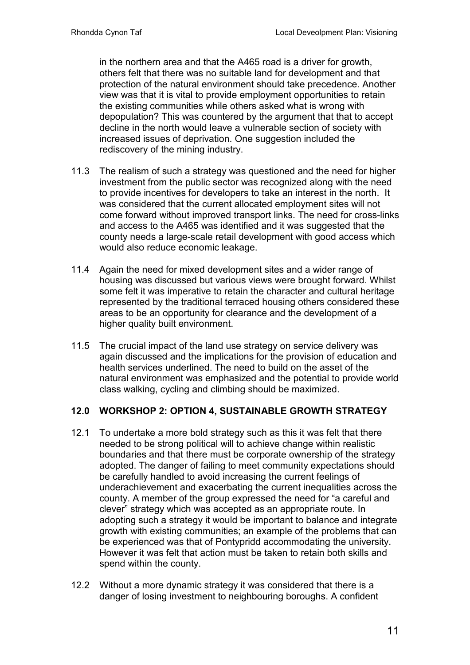in the northern area and that the A465 road is a driver for growth, others felt that there was no suitable land for development and that protection of the natural environment should take precedence. Another view was that it is vital to provide employment opportunities to retain the existing communities while others asked what is wrong with depopulation? This was countered by the argument that that to accept decline in the north would leave a vulnerable section of society with increased issues of deprivation. One suggestion included the rediscovery of the mining industry.

- 11.3 The realism of such a strategy was questioned and the need for higher investment from the public sector was recognized along with the need to provide incentives for developers to take an interest in the north. It was considered that the current allocated employment sites will not come forward without improved transport links. The need for cross-links and access to the A465 was identified and it was suggested that the county needs a large-scale retail development with good access which would also reduce economic leakage.
- 11.4 Again the need for mixed development sites and a wider range of housing was discussed but various views were brought forward. Whilst some felt it was imperative to retain the character and cultural heritage represented by the traditional terraced housing others considered these areas to be an opportunity for clearance and the development of a higher quality built environment.
- 11.5 The crucial impact of the land use strategy on service delivery was again discussed and the implications for the provision of education and health services underlined. The need to build on the asset of the natural environment was emphasized and the potential to provide world class walking, cycling and climbing should be maximized.

# 12.0 WORKSHOP 2: OPTION 4, SUSTAINABLE GROWTH STRATEGY

- 12.1 To undertake a more bold strategy such as this it was felt that there needed to be strong political will to achieve change within realistic boundaries and that there must be corporate ownership of the strategy adopted. The danger of failing to meet community expectations should be carefully handled to avoid increasing the current feelings of underachievement and exacerbating the current inequalities across the county. A member of the group expressed the need for "a careful and clever" strategy which was accepted as an appropriate route. In adopting such a strategy it would be important to balance and integrate growth with existing communities; an example of the problems that can be experienced was that of Pontypridd accommodating the university. However it was felt that action must be taken to retain both skills and spend within the county.
- 12.2 Without a more dynamic strategy it was considered that there is a danger of losing investment to neighbouring boroughs. A confident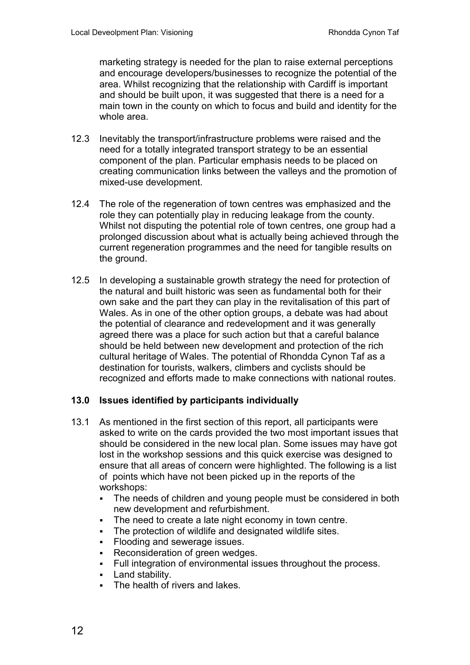marketing strategy is needed for the plan to raise external perceptions and encourage developers/businesses to recognize the potential of the area. Whilst recognizing that the relationship with Cardiff is important and should be built upon, it was suggested that there is a need for a main town in the county on which to focus and build and identity for the whole area.

- 12.3 Inevitably the transport/infrastructure problems were raised and the need for a totally integrated transport strategy to be an essential component of the plan. Particular emphasis needs to be placed on creating communication links between the valleys and the promotion of mixed-use development.
- 12.4 The role of the regeneration of town centres was emphasized and the role they can potentially play in reducing leakage from the county. Whilst not disputing the potential role of town centres, one group had a prolonged discussion about what is actually being achieved through the current regeneration programmes and the need for tangible results on the ground.
- 12.5 In developing a sustainable growth strategy the need for protection of the natural and built historic was seen as fundamental both for their own sake and the part they can play in the revitalisation of this part of Wales. As in one of the other option groups, a debate was had about the potential of clearance and redevelopment and it was generally agreed there was a place for such action but that a careful balance should be held between new development and protection of the rich cultural heritage of Wales. The potential of Rhondda Cynon Taf as a destination for tourists, walkers, climbers and cyclists should be recognized and efforts made to make connections with national routes.

# 13.0 Issues identified by participants individually

- 13.1 As mentioned in the first section of this report, all participants were asked to write on the cards provided the two most important issues that should be considered in the new local plan. Some issues may have got lost in the workshop sessions and this quick exercise was designed to ensure that all areas of concern were highlighted. The following is a list of points which have not been picked up in the reports of the workshops:
	- The needs of children and young people must be considered in both new development and refurbishment.
	- The need to create a late night economy in town centre.
	- The protection of wildlife and designated wildlife sites.
	- Flooding and sewerage issues.
	- Reconsideration of green wedges.
	- Full integration of environmental issues throughout the process.
	- **Land stability.**
	- The health of rivers and lakes.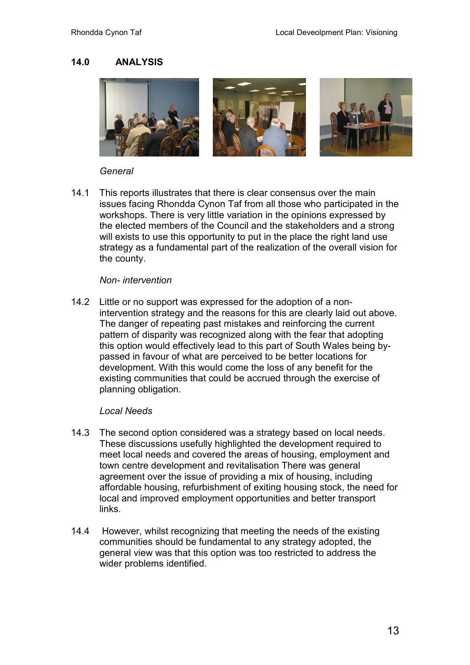## 14.0 ANALYSIS



#### **General**

14.1 This reports illustrates that there is clear consensus over the main issues facing Rhondda Cynon Taf from all those who participated in the workshops. There is very little variation in the opinions expressed by the elected members of the Council and the stakeholders and a strong will exists to use this opportunity to put in the place the right land use strategy as a fundamental part of the realization of the overall vision for the county.

#### Non- intervention

14.2 Little or no support was expressed for the adoption of a nonintervention strategy and the reasons for this are clearly laid out above. The danger of repeating past mistakes and reinforcing the current pattern of disparity was recognized along with the fear that adopting this option would effectively lead to this part of South Wales being bypassed in favour of what are perceived to be better locations for development. With this would come the loss of any benefit for the existing communities that could be accrued through the exercise of planning obligation.

#### Local Needs

- 14.3 The second option considered was a strategy based on local needs. These discussions usefully highlighted the development required to meet local needs and covered the areas of housing, employment and town centre development and revitalisation There was general agreement over the issue of providing a mix of housing, including affordable housing, refurbishment of exiting housing stock, the need for local and improved employment opportunities and better transport links.
- 14.4 However, whilst recognizing that meeting the needs of the existing communities should be fundamental to any strategy adopted, the general view was that this option was too restricted to address the wider problems identified.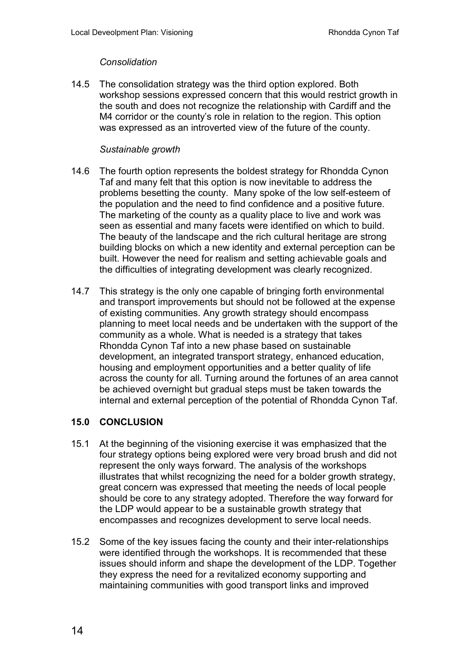## **Consolidation**

14.5 The consolidation strategy was the third option explored. Both workshop sessions expressed concern that this would restrict growth in the south and does not recognize the relationship with Cardiff and the M4 corridor or the county's role in relation to the region. This option was expressed as an introverted view of the future of the county.

## Sustainable growth

- 14.6 The fourth option represents the boldest strategy for Rhondda Cynon Taf and many felt that this option is now inevitable to address the problems besetting the county. Many spoke of the low self-esteem of the population and the need to find confidence and a positive future. The marketing of the county as a quality place to live and work was seen as essential and many facets were identified on which to build. The beauty of the landscape and the rich cultural heritage are strong building blocks on which a new identity and external perception can be built. However the need for realism and setting achievable goals and the difficulties of integrating development was clearly recognized.
- 14.7 This strategy is the only one capable of bringing forth environmental and transport improvements but should not be followed at the expense of existing communities. Any growth strategy should encompass planning to meet local needs and be undertaken with the support of the community as a whole. What is needed is a strategy that takes Rhondda Cynon Taf into a new phase based on sustainable development, an integrated transport strategy, enhanced education, housing and employment opportunities and a better quality of life across the county for all. Turning around the fortunes of an area cannot be achieved overnight but gradual steps must be taken towards the internal and external perception of the potential of Rhondda Cynon Taf.

# 15.0 CONCLUSION

- 15.1 At the beginning of the visioning exercise it was emphasized that the four strategy options being explored were very broad brush and did not represent the only ways forward. The analysis of the workshops illustrates that whilst recognizing the need for a bolder growth strategy, great concern was expressed that meeting the needs of local people should be core to any strategy adopted. Therefore the way forward for the LDP would appear to be a sustainable growth strategy that encompasses and recognizes development to serve local needs.
- 15.2 Some of the key issues facing the county and their inter-relationships were identified through the workshops. It is recommended that these issues should inform and shape the development of the LDP. Together they express the need for a revitalized economy supporting and maintaining communities with good transport links and improved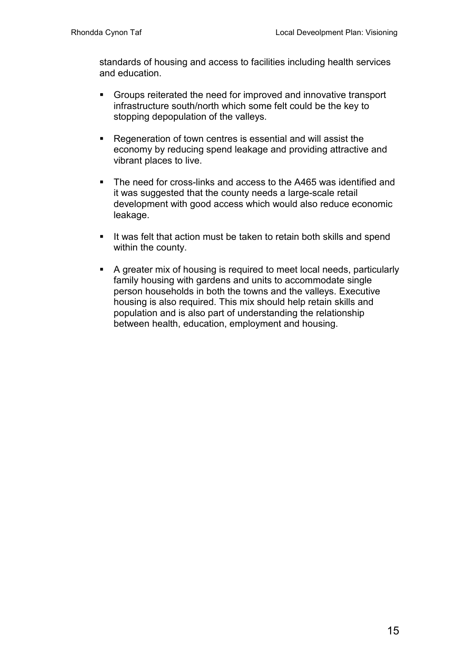standards of housing and access to facilities including health services and education.

- Groups reiterated the need for improved and innovative transport infrastructure south/north which some felt could be the key to stopping depopulation of the valleys.
- Regeneration of town centres is essential and will assist the economy by reducing spend leakage and providing attractive and vibrant places to live.
- The need for cross-links and access to the A465 was identified and it was suggested that the county needs a large-scale retail development with good access which would also reduce economic leakage.
- If was felt that action must be taken to retain both skills and spend within the county.
- A greater mix of housing is required to meet local needs, particularly family housing with gardens and units to accommodate single person households in both the towns and the valleys. Executive housing is also required. This mix should help retain skills and population and is also part of understanding the relationship between health, education, employment and housing.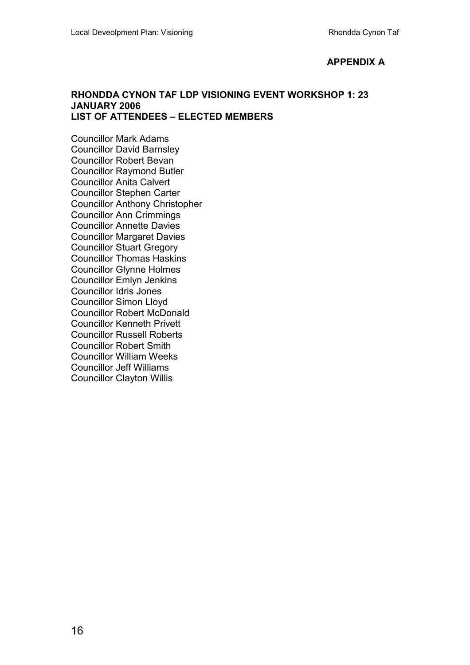## APPENDIX A

#### RHONDDA CYNON TAF LDP VISIONING EVENT WORKSHOP 1: 23 JANUARY 2006 LIST OF ATTENDEES – ELECTED MEMBERS

Councillor Mark Adams Councillor David Barnsley Councillor Robert Bevan Councillor Raymond Butler Councillor Anita Calvert Councillor Stephen Carter Councillor Anthony Christopher Councillor Ann Crimmings Councillor Annette Davies Councillor Margaret Davies Councillor Stuart Gregory Councillor Thomas Haskins Councillor Glynne Holmes Councillor Emlyn Jenkins Councillor Idris Jones Councillor Simon Lloyd Councillor Robert McDonald Councillor Kenneth Privett Councillor Russell Roberts Councillor Robert Smith Councillor William Weeks Councillor Jeff Williams Councillor Clayton Willis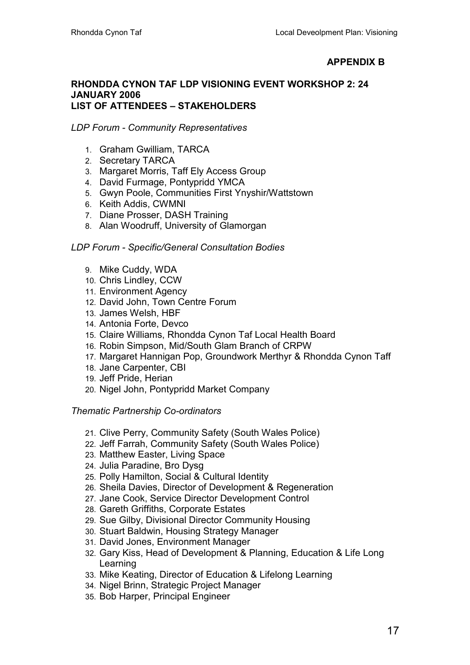# APPENDIX B

#### RHONDDA CYNON TAF LDP VISIONING EVENT WORKSHOP 2: 24 JANUARY 2006 LIST OF ATTENDEES – STAKEHOLDERS

## LDP Forum - Community Representatives

- 1. Graham Gwilliam, TARCA
- 2. Secretary TARCA
- 3. Margaret Morris, Taff Ely Access Group
- 4. David Furmage, Pontypridd YMCA
- 5. Gwyn Poole, Communities First Ynyshir/Wattstown
- 6. Keith Addis, CWMNI
- 7. Diane Prosser, DASH Training
- 8. Alan Woodruff, University of Glamorgan

## LDP Forum - Specific/General Consultation Bodies

- 9. Mike Cuddy, WDA
- 10. Chris Lindley, CCW
- 11. Environment Agency
- 12. David John, Town Centre Forum
- 13. James Welsh, HBF
- 14. Antonia Forte, Devco
- 15. Claire Williams, Rhondda Cynon Taf Local Health Board
- 16. Robin Simpson, Mid/South Glam Branch of CRPW
- 17. Margaret Hannigan Pop, Groundwork Merthyr & Rhondda Cynon Taff
- 18. Jane Carpenter, CBI
- 19. Jeff Pride, Herian
- 20. Nigel John, Pontypridd Market Company

#### Thematic Partnership Co-ordinators

- 21. Clive Perry, Community Safety (South Wales Police)
- 22. Jeff Farrah, Community Safety (South Wales Police)
- 23. Matthew Easter, Living Space
- 24. Julia Paradine, Bro Dysg
- 25. Polly Hamilton, Social & Cultural Identity
- 26. Sheila Davies, Director of Development & Regeneration
- 27. Jane Cook, Service Director Development Control
- 28. Gareth Griffiths, Corporate Estates
- 29. Sue Gilby, Divisional Director Community Housing
- 30. Stuart Baldwin, Housing Strategy Manager
- 31. David Jones, Environment Manager
- 32. Gary Kiss, Head of Development & Planning, Education & Life Long Learning
- 33. Mike Keating, Director of Education & Lifelong Learning
- 34. Nigel Brinn, Strategic Project Manager
- 35. Bob Harper, Principal Engineer